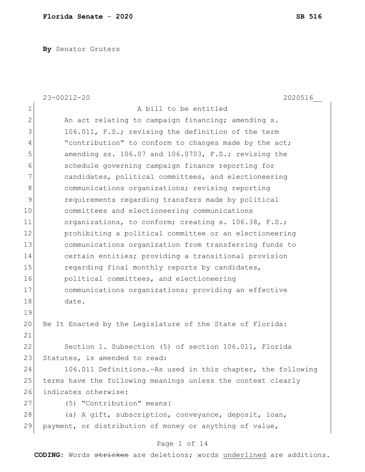**By** Senator Gruters

|              | $23 - 00212 - 20$<br>2020516                                  |
|--------------|---------------------------------------------------------------|
| $\mathbf 1$  | A bill to be entitled                                         |
| $\mathbf{2}$ | An act relating to campaign financing; amending s.            |
| 3            | 106.011, F.S.; revising the definition of the term            |
| 4            | "contribution" to conform to changes made by the act;         |
| 5            | amending ss. 106.07 and 106.0703, F.S.; revising the          |
| 6            | schedule governing campaign finance reporting for             |
| 7            | candidates, political committees, and electioneering          |
| 8            | communications organizations; revising reporting              |
| 9            | requirements regarding transfers made by political            |
| 10           | committees and electioneering communications                  |
| 11           | organizations, to conform; creating s. 106.38, F.S.;          |
| 12           | prohibiting a political committee or an electioneering        |
| 13           | communications organization from transferring funds to        |
| 14           | certain entities; providing a transitional provision          |
| 15           | regarding final monthly reports by candidates,                |
| 16           | political committees, and electioneering                      |
| 17           | communications organizations; providing an effective          |
| 18           | date.                                                         |
| 19           |                                                               |
| 20           | Be It Enacted by the Legislature of the State of Florida:     |
| 21           |                                                               |
| 22           | Section 1. Subsection (5) of section 106.011, Florida         |
| 23           | Statutes, is amended to read:                                 |
| 24           | 106.011 Definitions. - As used in this chapter, the following |
| 25           | terms have the following meanings unless the context clearly  |
| 26           | indicates otherwise:                                          |
| 27           | (5) "Contribution" means:                                     |
| 28           | (a) A gift, subscription, conveyance, deposit, loan,          |
| 29           | payment, or distribution of money or anything of value,       |
|              | Page 1 of 14                                                  |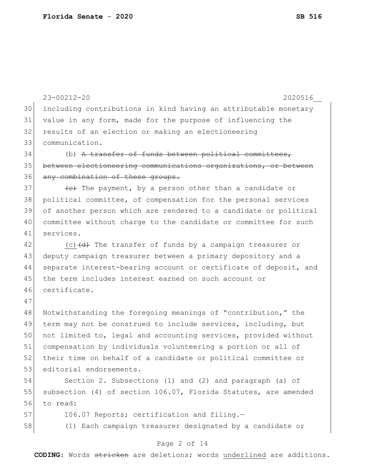23-00212-20 2020516\_\_ including contributions in kind having an attributable monetary value in any form, made for the purpose of influencing the results of an election or making an electioneering communication. (b) <del>A transfer of funds between political committees,</del> between electioneering communications organizations, or between 36 any combination of these groups. (e) The payment, by a person other than a candidate or political committee, of compensation for the personal services of another person which are rendered to a candidate or political committee without charge to the candidate or committee for such services. 42 (c)<del>(d)</del> The transfer of funds by a campaign treasurer or deputy campaign treasurer between a primary depository and a 44 | separate interest-bearing account or certificate of deposit, and the term includes interest earned on such account or certificate. Notwithstanding the foregoing meanings of "contribution," the term may not be construed to include services, including, but not limited to, legal and accounting services, provided without compensation by individuals volunteering a portion or all of 52 their time on behalf of a candidate or political committee or 53 editorial endorsements. Section 2. Subsections (1) and (2) and paragraph (a) of 55 subsection (4) of section 106.07, Florida Statutes, are amended to read: 57 106.07 Reports; certification and filing.-(1) Each campaign treasurer designated by a candidate or

#### Page 2 of 14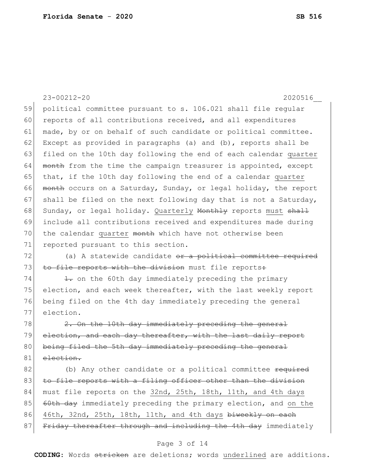23-00212-20 2020516\_\_ 59 political committee pursuant to s. 106.021 shall file regular 60 reports of all contributions received, and all expenditures 61 made, by or on behalf of such candidate or political committee. 62 Except as provided in paragraphs (a) and (b), reports shall be 63 filed on the 10th day following the end of each calendar quarter  $64$  month from the time the campaign treasurer is appointed, except 65 that, if the 10th day following the end of a calendar quarter 66 month occurs on a Saturday, Sunday, or legal holiday, the report 67 shall be filed on the next following day that is not a Saturday, 68 Sunday, or legal holiday. Quarterly Nonthly reports must shall 69 include all contributions received and expenditures made during 70 the calendar quarter month which have not otherwise been 71 reported pursuant to this section. 72  $($ a) A statewide candidate <del>or a political committee required</del> 73 to file reports with the division must file reports:  $74$  1. on the 60th day immediately preceding the primary 75 election, and each week thereafter, with the last weekly report 76 being filed on the 4th day immediately preceding the general 77 election.  $78$   $2.$  On the 10th day immediately preceding the general 79 election, and each day thereafter, with the last daily report 80 being filed the 5th day immediately preceding the general 81 election. 82 (b) Any other candidate or a political committee required 83 to file reports with a filing officer other than the division 84 must file reports on the 32nd, 25th, 18th, 11th, and 4th days 85  $\sqrt{60t}$  day immediately preceding the primary election, and on the 86 46th, 32nd, 25th, 18th, 11th, and 4th days biweekly on each

87 Friday thereafter through and including the 4th day immediately

# Page 3 of 14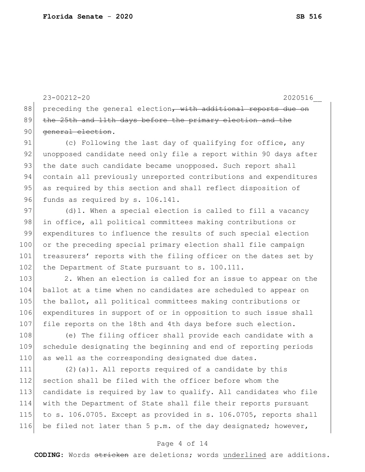23-00212-20 2020516\_\_ 88 preceding the general election, with additional reports due on 89 the 25th and 11th days before the primary election and the 90 general election.

91 (c) Following the last day of qualifying for office, any 92 unopposed candidate need only file a report within 90 days after 93 the date such candidate became unopposed. Such report shall 94 contain all previously unreported contributions and expenditures 95 as required by this section and shall reflect disposition of 96 funds as required by s. 106.141.

97 (d)1. When a special election is called to fill a vacancy 98 in office, all political committees making contributions or 99 expenditures to influence the results of such special election 100 or the preceding special primary election shall file campaign 101 treasurers' reports with the filing officer on the dates set by 102 the Department of State pursuant to s. 100.111.

103 2. When an election is called for an issue to appear on the 104 ballot at a time when no candidates are scheduled to appear on 105 the ballot, all political committees making contributions or 106 expenditures in support of or in opposition to such issue shall 107 file reports on the 18th and 4th days before such election.

108 (e) The filing officer shall provide each candidate with a 109 schedule designating the beginning and end of reporting periods 110 as well as the corresponding designated due dates.

 (2)(a)1. All reports required of a candidate by this 112 section shall be filed with the officer before whom the candidate is required by law to qualify. All candidates who file with the Department of State shall file their reports pursuant to s. 106.0705. Except as provided in s. 106.0705, reports shall 116 be filed not later than 5 p.m. of the day designated; however,

#### Page 4 of 14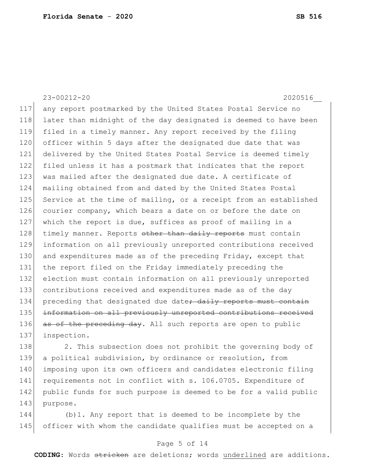23-00212-20 2020516\_\_ 117 any report postmarked by the United States Postal Service no 118 later than midnight of the day designated is deemed to have been 119 filed in a timely manner. Any report received by the filing 120 officer within 5 days after the designated due date that was 121 delivered by the United States Postal Service is deemed timely 122 filed unless it has a postmark that indicates that the report 123 was mailed after the designated due date. A certificate of 124 mailing obtained from and dated by the United States Postal 125 Service at the time of mailing, or a receipt from an established 126 courier company, which bears a date on or before the date on 127 which the report is due, suffices as proof of mailing in a 128 timely manner. Reports other than daily reports must contain 129 information on all previously unreported contributions received 130 and expenditures made as of the preceding Friday, except that 131 the report filed on the Friday immediately preceding the 132 election must contain information on all previously unreported 133 contributions received and expenditures made as of the day 134 preceding that designated due date<del>; daily reports must contain</del> 135 information on all previously unreported contributions received 136 as of the preceding day. All such reports are open to public 137 inspection.

138 2. This subsection does not prohibit the governing body of 139 a political subdivision, by ordinance or resolution, from 140 imposing upon its own officers and candidates electronic filing 141 requirements not in conflict with s. 106.0705. Expenditure of 142 public funds for such purpose is deemed to be for a valid public 143 purpose.

144 (b)1. Any report that is deemed to be incomplete by the 145 officer with whom the candidate qualifies must be accepted on a

# Page 5 of 14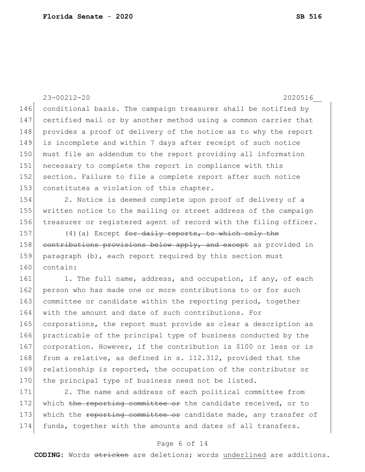23-00212-20 2020516\_\_ 146 conditional basis. The campaign treasurer shall be notified by 147 certified mail or by another method using a common carrier that 148 provides a proof of delivery of the notice as to why the report 149 is incomplete and within 7 days after receipt of such notice 150 must file an addendum to the report providing all information 151 necessary to complete the report in compliance with this 152 section. Failure to file a complete report after such notice 153 constitutes a violation of this chapter. 154 2. Notice is deemed complete upon proof of delivery of a 155 written notice to the mailing or street address of the campaign 156 treasurer or registered agent of record with the filing officer. 157 (4) (a) Except for daily reports, to which only the 158 contributions provisions below apply, and except as provided in 159 paragraph (b), each report required by this section must 160 contain: 161 1. The full name, address, and occupation, if any, of each 162 person who has made one or more contributions to or for such 163 committee or candidate within the reporting period, together 164 with the amount and date of such contributions. For 165 corporations, the report must provide as clear a description as 166 practicable of the principal type of business conducted by the 167 corporation. However, if the contribution is \$100 or less or is 168 from a relative, as defined in s. 112.312, provided that the 169 relationship is reported, the occupation of the contributor or 170 the principal type of business need not be listed. 171 2. The name and address of each political committee from 172 which the reporting committee or the candidate received, or to 173 which the reporting committee or candidate made, any transfer of

#### Page 6 of 14

174 funds, together with the amounts and dates of all transfers.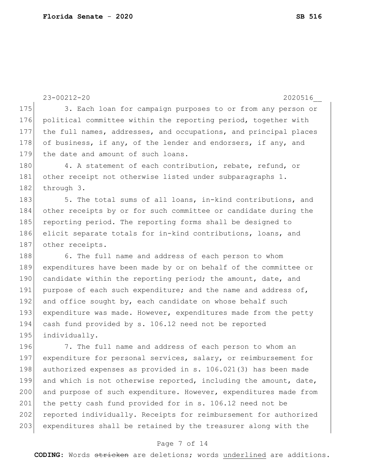```
23-00212-20 2020516__
175 3. Each loan for campaign purposes to or from any person or
176 political committee within the reporting period, together with 
177 the full names, addresses, and occupations, and principal places 
178 of business, if any, of the lender and endorsers, if any, and
179 the date and amount of such loans.
180 4. A statement of each contribution, rebate, refund, or
181 other receipt not otherwise listed under subparagraphs 1.
182 through 3.
183 5. The total sums of all loans, in-kind contributions, and
184 other receipts by or for such committee or candidate during the 
185 reporting period. The reporting forms shall be designed to
186 elicit separate totals for in-kind contributions, loans, and
187 other receipts.
188 6. The full name and address of each person to whom
189 expenditures have been made by or on behalf of the committee or 
190 candidate within the reporting period; the amount, date, and
191 purpose of each such expenditure; and the name and address of,
192 and office sought by, each candidate on whose behalf such
193 expenditure was made. However, expenditures made from the petty
194 cash fund provided by s. 106.12 need not be reported
195 individually.
196 7. The full name and address of each person to whom an
197 expenditure for personal services, salary, or reimbursement for
198 authorized expenses as provided in s. 106.021(3) has been made
199 and which is not otherwise reported, including the amount, date,
200 and purpose of such expenditure. However, expenditures made from
201 the petty cash fund provided for in s. 106.12 need not be
202 reported individually. Receipts for reimbursement for authorized
203 expenditures shall be retained by the treasurer along with the
```
# Page 7 of 14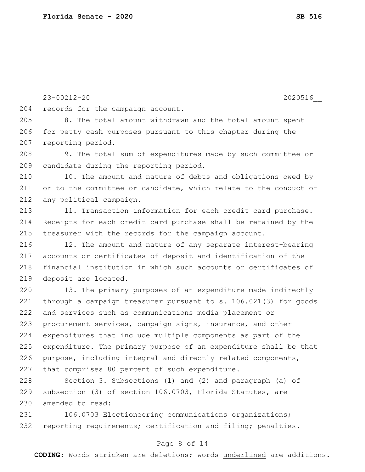23-00212-20 2020516\_\_ 204 records for the campaign account. 205 8. The total amount withdrawn and the total amount spent 206 for petty cash purposes pursuant to this chapter during the 207 reporting period. 208 9. The total sum of expenditures made by such committee or 209 candidate during the reporting period. 210 10. The amount and nature of debts and obligations owed by 211 or to the committee or candidate, which relate to the conduct of 212 any political campaign. 213 11. Transaction information for each credit card purchase. 214 Receipts for each credit card purchase shall be retained by the 215 treasurer with the records for the campaign account. 216 12. The amount and nature of any separate interest-bearing 217 accounts or certificates of deposit and identification of the 218 financial institution in which such accounts or certificates of 219 deposit are located. 220 13. The primary purposes of an expenditure made indirectly 221 through a campaign treasurer pursuant to s. 106.021(3) for goods 228 Section 3. Subsections (1) and (2) and paragraph (a) of 231 106.0703 Electioneering communications organizations;

222 and services such as communications media placement or 223 procurement services, campaign signs, insurance, and other 224 expenditures that include multiple components as part of the 225 expenditure. The primary purpose of an expenditure shall be that 226 purpose, including integral and directly related components, 227 that comprises 80 percent of such expenditure.

229 subsection (3) of section 106.0703, Florida Statutes, are 230 amended to read:

232 reporting requirements; certification and filing; penalties.-

#### Page 8 of 14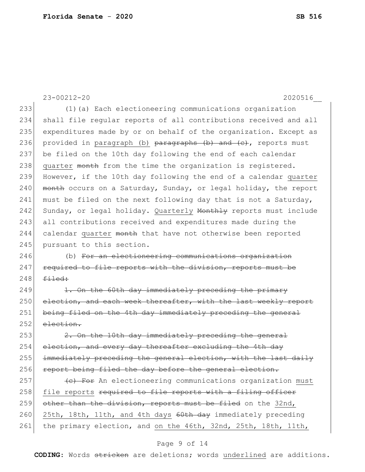23-00212-20 2020516\_\_ 233 (1)(a) Each electioneering communications organization 234 shall file regular reports of all contributions received and all 235 expenditures made by or on behalf of the organization. Except as 236 provided in paragraph (b) paragraphs (b) and (e), reports must 237 be filed on the 10th day following the end of each calendar 238 quarter month from the time the organization is registered. 239 However, if the 10th day following the end of a calendar quarter 240 month occurs on a Saturday, Sunday, or legal holiday, the report 241 must be filed on the next following day that is not a Saturday, 242 Sunday, or legal holiday. Quarterly Monthly reports must include 243 all contributions received and expenditures made during the 244 calendar quarter month that have not otherwise been reported 245 pursuant to this section. 246 (b) For an electioneering communications organization  $247$  required to file reports with the division, reports must be  $248$  filed: 249 1. On the 60th day immediately preceding the primary 250 election, and each week thereafter, with the last weekly report 251 being filed on the 4th day immediately preceding the general  $252$  election. 253 2. On the 10th day immediately preceding the general 254 election, and every day thereafter excluding the 4th day 255 immediately preceding the general election, with the last daily 256 report being filed the day before the general election.  $257$   $\leftarrow$   $\leftarrow$  For An electioneering communications organization must 258 file reports required to file reports with a filing officer 259 other than the division, reports must be filed on the 32nd, 260 25th, 18th, 11th, and 4th days 60th day immediately preceding 261 the primary election, and on the 46th, 32nd, 25th, 18th, 11th,

# Page 9 of 14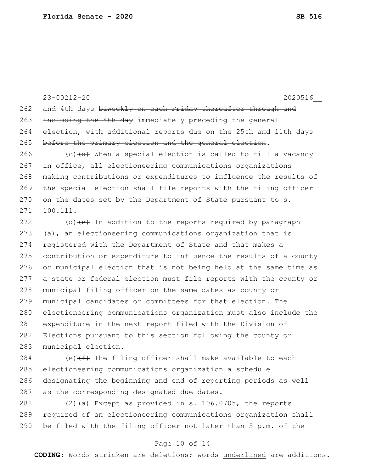262 and 4th days biweekly on each Friday thereafter through and 263 including the 4th day immediately preceding the general 264 election, with additional reports due on the 25th and 11th days 265 before the primary election and the general election. 266  $(c)$  (c)  $(d)$  When a special election is called to fill a vacancy 267 in office, all electioneering communications organizations 268 making contributions or expenditures to influence the results of 269 the special election shall file reports with the filing officer  $270$  on the dates set by the Department of State pursuant to s. 271 100.111. 272 (d)  $\left(e\right)$  In addition to the reports required by paragraph  $273$  (a), an electioneering communications organization that is 274 registered with the Department of State and that makes a 275 contribution or expenditure to influence the results of a county 276 or municipal election that is not being held at the same time as 277 a state or federal election must file reports with the county or 278 municipal filing officer on the same dates as county or 279 municipal candidates or committees for that election. The 280 electioneering communications organization must also include the 281 expenditure in the next report filed with the Division of 282 Elections pursuant to this section following the county or 283 municipal election. 284 (e)  $(f)$  The filing officer shall make available to each 285 electioneering communications organization a schedule 286 designating the beginning and end of reporting periods as well

287 as the corresponding designated due dates.

288  $(2)(a)$  Except as provided in s. 106.0705, the reports 289 required of an electioneering communications organization shall 290 be filed with the filing officer not later than  $5$  p.m. of the

#### Page 10 of 14

**CODING**: Words stricken are deletions; words underlined are additions.

23-00212-20 2020516\_\_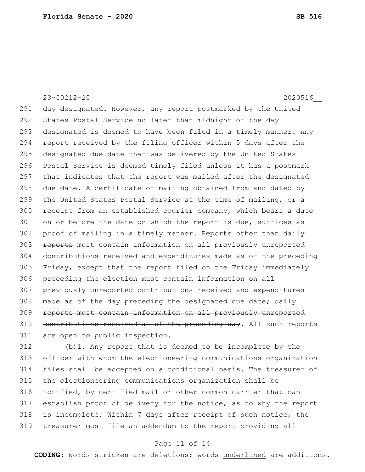23-00212-20 2020516\_\_ 291 day designated. However, any report postmarked by the United 292 States Postal Service no later than midnight of the day 293 designated is deemed to have been filed in a timely manner. Any 294 report received by the filing officer within 5 days after the 295 designated due date that was delivered by the United States 296 Postal Service is deemed timely filed unless it has a postmark 297 that indicates that the report was mailed after the designated 298 due date. A certificate of mailing obtained from and dated by 299 the United States Postal Service at the time of mailing, or a 300 receipt from an established courier company, which bears a date 301 on or before the date on which the report is due, suffices as  $302$  proof of mailing in a timely manner. Reports other than daily 303 **reports** must contain information on all previously unreported 304 contributions received and expenditures made as of the preceding 305 Friday, except that the report filed on the Friday immediately 306 preceding the election must contain information on all 307 previously unreported contributions received and expenditures 308 made as of the day preceding the designated due date<del>; daily</del> 309 reports must contain information on all previously unreported  $310$  contributions received as of the preceding day. All such reports 311 are open to public inspection.

 (b)1. Any report that is deemed to be incomplete by the officer with whom the electioneering communications organization files shall be accepted on a conditional basis. The treasurer of the electioneering communications organization shall be notified, by certified mail or other common carrier that can establish proof of delivery for the notice, as to why the report 318 is incomplete. Within 7 days after receipt of such notice, the treasurer must file an addendum to the report providing all

# Page 11 of 14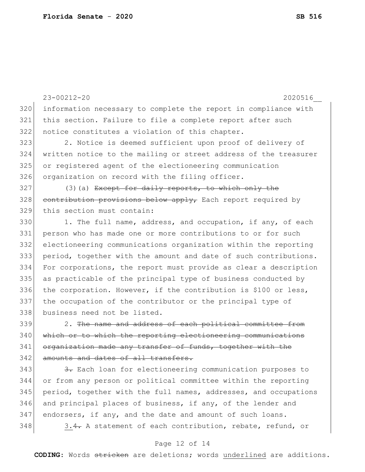|     | 2020516<br>$23 - 00212 - 20$                                     |
|-----|------------------------------------------------------------------|
| 320 | information necessary to complete the report in compliance with  |
| 321 | this section. Failure to file a complete report after such       |
| 322 | notice constitutes a violation of this chapter.                  |
| 323 | 2. Notice is deemed sufficient upon proof of delivery of         |
| 324 | written notice to the mailing or street address of the treasurer |
| 325 | or registered agent of the electioneering communication          |
| 326 | organization on record with the filing officer.                  |
| 327 | $(3)$ (a) Except for daily reports, to which only the            |
| 328 | contribution provisions below apply, Each report required by     |
| 329 | this section must contain:                                       |
| 330 | 1. The full name, address, and occupation, if any, of each       |
| 331 | person who has made one or more contributions to or for such     |
| 332 | electioneering communications organization within the reporting  |
| 333 | period, together with the amount and date of such contributions. |
| 334 | For corporations, the report must provide as clear a description |
| 335 | as practicable of the principal type of business conducted by    |
| 336 | the corporation. However, if the contribution is \$100 or less,  |
| 337 | the occupation of the contributor or the principal type of       |
| 338 | business need not be listed.                                     |
| 339 | 2. The name and address of each political committee from         |
| 340 | which or to which the reporting electioneering communications    |
| 341 | organization made any transfer of funds, together with the       |
| 342 | amounts and dates of all transfers.                              |
| 343 | 3. Each loan for electioneering communication purposes to        |
| 344 | or from any person or political committee within the reporting   |
| 345 | period, together with the full names, addresses, and occupations |
| 346 | and principal places of business, if any, of the lender and      |
| 347 | endorsers, if any, and the date and amount of such loans.        |
| 348 | 3.4. A statement of each contribution, rebate, refund, or        |

# Page 12 of 14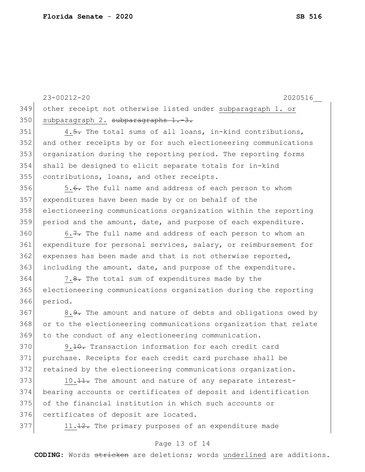23-00212-20 2020516\_\_ other receipt not otherwise listed under subparagraph 1. or 350 subparagraph 2. subparagraphs 1.-3.  $\vert$  4.5. The total sums of all loans, in-kind contributions, and other receipts by or for such electioneering communications organization during the reporting period. The reporting forms shall be designed to elicit separate totals for in-kind contributions, loans, and other receipts. 356 5.6. The full name and address of each person to whom expenditures have been made by or on behalf of the electioneering communications organization within the reporting 359 period and the amount, date, and purpose of each expenditure. 6.7. The full name and address of each person to whom an expenditure for personal services, salary, or reimbursement for 362 expenses has been made and that is not otherwise reported, including the amount, date, and purpose of the expenditure. 364 7.8. The total sum of expenditures made by the electioneering communications organization during the reporting 366 period. 367 8.9. The amount and nature of debts and obligations owed by or to the electioneering communications organization that relate to the conduct of any electioneering communication. 370 9.<del>10.</del> Transaction information for each credit card purchase. Receipts for each credit card purchase shall be retained by the electioneering communications organization. 373 10. 11. The amount and nature of any separate interest- bearing accounts or certificates of deposit and identification of the financial institution in which such accounts or

376 certificates of deposit are located.

377 11.12. The primary purposes of an expenditure made

#### Page 13 of 14